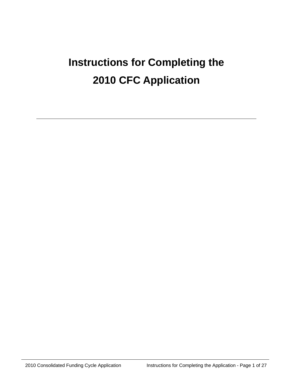# **Instructions for Completing the 2010 CFC Application**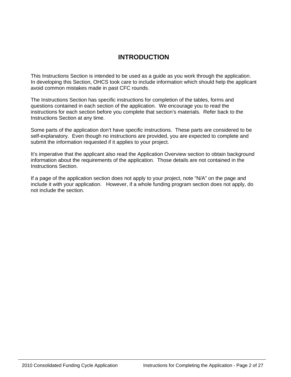# **INTRODUCTION**

This Instructions Section is intended to be used as a guide as you work through the application. In developing this Section, OHCS took care to include information which should help the applicant avoid common mistakes made in past CFC rounds.

The Instructions Section has specific instructions for completion of the tables, forms and questions contained in each section of the application. We encourage you to read the instructions for each section before you complete that section's materials. Refer back to the Instructions Section at any time.

Some parts of the application don't have specific instructions. These parts are considered to be self-explanatory. Even though no instructions are provided, you are expected to complete and submit the information requested if it applies to your project.

It's imperative that the applicant also read the Application Overview section to obtain background information about the requirements of the application. Those details are not contained in the Instructions Section.

If a page of the application section does not apply to your project, note "N/A" on the page and include it with your application. However, if a whole funding program section does not apply, do not include the section.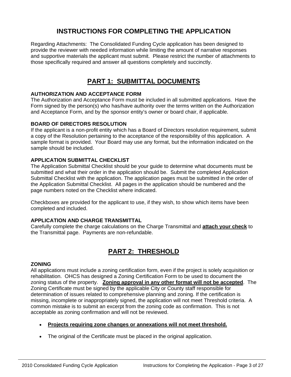# **INSTRUCTIONS FOR COMPLETING THE APPLICATION**

Regarding Attachments: The Consolidated Funding Cycle application has been designed to provide the reviewer with needed information while limiting the amount of narrative responses and supportive materials the applicant must submit. Please restrict the number of attachments to those specifically required and answer all questions completely and succinctly.

# **PART 1: SUBMITTAL DOCUMENTS**

# **AUTHORIZATION AND ACCEPTANCE FORM**

The Authorization and Acceptance Form must be included in all submitted applications. Have the Form signed by the person(s) who has/have authority over the terms written on the Authorization and Acceptance Form, and by the sponsor entity's owner or board chair, if applicable.

# **BOARD OF DIRECTORS RESOLUTION**

If the applicant is a non-profit entity which has a Board of Directors resolution requirement, submit a copy of the Resolution pertaining to the acceptance of the responsibility of this application. A sample format is provided. Your Board may use any format, but the information indicated on the sample should be included.

# **APPLICATION SUBMITTAL CHECKLIST**

The Application Submittal Checklist should be your guide to determine what documents must be submitted and what their order in the application should be. Submit the completed Application Submittal Checklist with the application. The application pages must be submitted in the order of the Application Submittal Checklist. All pages in the application should be numbered and the page numbers noted on the Checklist where indicated.

Checkboxes are provided for the applicant to use, if they wish, to show which items have been completed and included.

# **APPLICATION AND CHARGE TRANSMITTAL**

Carefully complete the charge calculations on the Charge Transmittal and **attach your check** to the Transmittal page. Payments are non-refundable.

# **PART 2: THRESHOLD**

# **ZONING**

All applications must include a zoning certification form, even if the project is solely acquisition or rehabilitation. OHCS has designed a Zoning Certification Form to be used to document the zoning status of the property. **Zoning approval in any other format will not be accepted**. The Zoning Certificate must be signed by the applicable City or County staff responsible for determination of issues related to comprehensive planning and zoning. If the certification is missing, incomplete or inappropriately signed, the application will not meet Threshold criteria. A common mistake is to submit an excerpt from the zoning code as confirmation. This is not acceptable as zoning confirmation and will not be reviewed.

- **Projects requiring zone changes or annexations will not meet threshold.**
- The original of the Certificate must be placed in the original application.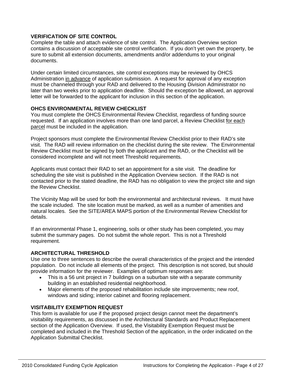# **VERIFICATION OF SITE CONTROL**

Complete the table and attach evidence of site control. The Application Overview section contains a discussion of acceptable site control verification. If you don't yet own the property, be sure to submit all extension documents, amendments and/or addendums to your original documents.

Under certain limited circumstances, site control exceptions may be reviewed by OHCS Administration in advance of application submission. A request for approval of any exception must be channeled through your RAD and delivered to the Housing Division Administrator no later than two weeks prior to application deadline. Should the exception be allowed, an approval letter will be forwarded to the applicant for inclusion in this section of the application.

# **OHCS ENVIRONMENTAL REVIEW CHECKLIST**

You must complete the OHCS Environmental Review Checklist, regardless of funding source requested. If an application involves more than one land parcel, a Review Checklist for each parcel must be included in the application.

Project sponsors must complete the Environmental Review Checklist prior to their RAD's site visit. The RAD will review information on the checklist during the site review. The Environmental Review Checklist must be signed by both the applicant and the RAD, or the Checklist will be considered incomplete and will not meet Threshold requirements.

Applicants must contact their RAD to set an appointment for a site visit. The deadline for scheduling the site visit is published in the Application Overview section. If the RAD is not contacted prior to the stated deadline, the RAD has no obligation to view the project site and sign the Review Checklist.

The Vicinity Map will be used for both the environmental and architectural reviews. It must have the scale included. The site location must be marked, as well as a number of amenities and natural locales. See the SITE/AREA MAPS portion of the Environmental Review Checklist for details.

If an environmental Phase 1, engineering, soils or other study has been completed, you may submit the summary pages. Do not submit the whole report. This is not a Threshold requirement.

# **ARCHITECTURAL THRESHOLD**

Use one to three sentences to describe the overall characteristics of the project and the intended population. Do not include all elements of the project. This description is not scored, but should provide information for the reviewer. Examples of optimum responses are:

- This is a 56 unit project in 7 buildings on a suburban site with a separate community building in an established residential neighborhood.
- Major elements of the proposed rehabilitation include site improvements; new roof, windows and siding; interior cabinet and flooring replacement.

# **VISITABILITY EXEMPTION REQUEST**

This form is available for use if the proposed project design cannot meet the department's visitability requirements, as discussed in the Architectural Standards and Product Replacement section of the Application Overview. If used, the Visitability Exemption Request must be completed and included in the Threshold Section of the application, in the order indicated on the Application Submittal Checklist.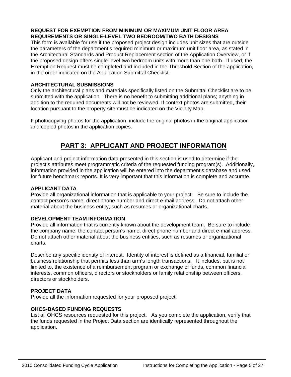# **REQUEST FOR EXEMPTION FROM MINIMUM OR MAXIMUM UNIT FLOOR AREA REQUIREMENTS OR SINGLE-LEVEL TWO BEDROOM/TWO BATH DESIGNS**

This form is available for use if the proposed project design includes unit sizes that are outside the parameters of the department's required minimum or maximum unit floor area, as stated in the Architectural Standards and Product Replacement section of the Application Overview, or if the proposed design offers single-level two bedroom units with more than one bath. If used, the Exemption Request must be completed and included in the Threshold Section of the application, in the order indicated on the Application Submittal Checklist.

# **ARCHITECTURAL SUBMISSIONS**

Only the architectural plans and materials specifically listed on the Submittal Checklist are to be submitted with the application. There is no benefit to submitting additional plans; anything in addition to the required documents will not be reviewed. If context photos are submitted, their location pursuant to the property site must be indicated on the Vicinity Map.

If photocopying photos for the application, include the original photos in the original application and copied photos in the application copies.

# **PART 3: APPLICANT AND PROJECT INFORMATION**

Applicant and project information data presented in this section is used to determine if the project's attributes meet programmatic criteria of the requested funding program(s). Additionally, information provided in the application will be entered into the department's database and used for future benchmark reports. It is very important that this information is complete and accurate.

# **APPLICANT DATA**

Provide all organizational information that is applicable to your project. Be sure to include the contact person's name, direct phone number and direct e-mail address. Do not attach other material about the business entity, such as resumes or organizational charts.

# **DEVELOPMENT TEAM INFORMATION**

Provide all information that is currently known about the development team. Be sure to include the company name, the contact person's name, direct phone number and direct e-mail address. Do not attach other material about the business entities, such as resumes or organizational charts.

Describe any specific identity of interest. Identity of interest is defined as a financial, familial or business relationship that permits less than arm's length transactions. It includes, but is not limited to, the existence of a reimbursement program or exchange of funds, common financial interests, common officers, directors or stockholders or family relationship between officers, directors or stockholders.

# **PROJECT DATA**

Provide all the information requested for your proposed project.

# **OHCS-BASED FUNDING REQUESTS**

List all OHCS resources requested for this project. As you complete the application, verify that the funds requested in the Project Data section are identically represented throughout the application.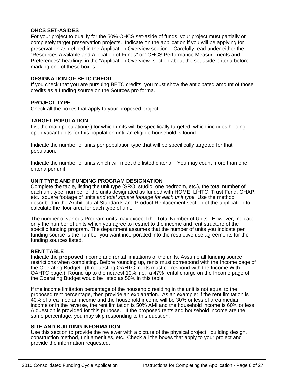# **OHCS SET-ASIDES**

For your project to qualify for the 50% OHCS set-aside of funds, your project must partially or completely target preservation projects. Indicate on the application if you will be applying for preservation as defined in the Application Overview section. Carefully read under either the "Resources Available and Allocation of Funds" or "OHCS Performance Measurements and Preferences" headings in the "Application Overview" section about the set-aside criteria before marking one of these boxes.

# **DESIGNATION OF BETC CREDIT**

If you check that you are pursuing BETC credits, you must show the anticipated amount of those credits as a funding source on the Sources pro forma.

#### **PROJECT TYPE**

Check all the boxes that apply to your proposed project.

#### **TARGET POPULATION**

List the main population(s) for which units will be specifically targeted, which includes holding open vacant units for this population until an eligible household is found.

Indicate the number of units per population type that will be specifically targeted for that population.

Indicate the number of units which will meet the listed criteria. You may count more than one criteria per unit.

#### **UNIT TYPE AND FUNDING PROGRAM DESIGNATION**

Complete the table, listing the unit type (SRO, studio, one bedroom, etc.), the total number of each unit type, number of the units designated as funded with HOME, LIHTC, Trust Fund, GHAP, etc., square footage of units *and total square footage for each unit type.* Use the method described in the Architectural Standards and Product Replacement section of the application to calculate the floor area for each type of unit.

The number of various Program units may exceed the Total Number of Units. However, indicate only the number of units which you agree to restrict to the income and rent structure of the specific funding program. The department assumes that the number of units you indicate per funding source is the number you want incorporated into the restrictive use agreements for the funding sources listed.

#### **RENT TABLE**

Indicate the **proposed** income and rental limitations of the units. Assume all funding source restrictions when completing. Before rounding up, rents must correspond with the Income page of the Operating Budget. (If requesting OAHTC, rents must correspond with the Income With OAHTC page.) Round up to the nearest 10%, i.e.: a 47% rental charge on the Income page of the Operating Budget would be listed as 50% in this table.

If the income limitation percentage of the household residing in the unit is not equal to the proposed rent percentage, then provide an explanation. As an example: if the rent limitation is 40% of area median income and the household income will be 30% or less of area median income or in the reverse, the rent limitation is 50% AMI and the household income is 60% or less. A question is provided for this purpose. If the proposed rents and household income are the same percentage, you may skip responding to this question.

#### **SITE AND BUILDING INFORMATION**

Use this section to provide the reviewer with a picture of the physical project: building design, construction method, unit amenities, etc. Check all the boxes that apply to your project and provide the information requested.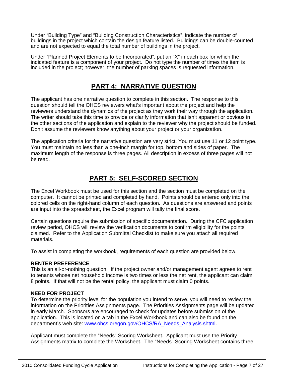Under "Building Type" and "Building Construction Characteristics", indicate the number of buildings in the project which contain the design feature listed. Buildings can be double-counted and are not expected to equal the total number of buildings in the project.

Under "Planned Project Elements to be Incorporated", put an "X" in each box for which the indicated feature is a component of your project. Do not type the number of times the item is included in the project; however, the number of parking spaces is requested information.

# **PART 4: NARRATIVE QUESTION**

The applicant has one narrative question to complete in this section. The response to this question should tell the OHCS reviewers what's important about the project and help the reviewers understand the dynamics of the project as they work their way through the application. The writer should take this time to provide or clarify information that isn't apparent or obvious in the other sections of the application and explain to the reviewer why the project should be funded. Don't assume the reviewers know anything about your project or your organization.

The application criteria for the narrative question are very strict. You must use 11 or 12 point type. You must maintain no less than a one-inch margin for top, bottom and sides of paper. The maximum length of the response is three pages. All description in excess of three pages will not be read.

# **PART 5: SELF-SCORED SECTION**

The Excel Workbook must be used for this section and the section must be completed on the computer. It cannot be printed and completed by hand. Points should be entered only into the colored cells on the right-hand column of each question. As questions are answered and points are input into the spreadsheet, the Excel program will tally the final score.

Certain questions require the submission of specific documentation. During the CFC application review period, OHCS will review the verification documents to confirm eligibility for the points claimed. Refer to the Application Submittal Checklist to make sure you attach all required materials.

To assist in completing the workbook, requirements of each question are provided below.

# **RENTER PREFERENCE**

This is an all-or-nothing question. If the project owner and/or management agent agrees to rent to tenants whose net household income is two times or less the net rent, the applicant can claim 8 points. If that will not be the rental policy, the applicant must claim 0 points.

# **NEED FOR PROJECT**

To determine the priority level for the population you intend to serve, you will need to review the information on the Priorities Assignments page. The Priorities Assignments page will be updated in early March. Sponsors are encouraged to check for updates before submission of the application. This is located on a tab in the Excel Workbook and can also be found on the department's web site: [www.ohcs.oregon.gov/OHCS/RA\\_Needs\\_Analysis.shtml.](http://www.ohcs.oregon.gov/OHCS/RA_Needs_Analysis.shtml)

Applicant must complete the "Needs" Scoring Worksheet. Applicant must use the Priority Assignments matrix to complete the Worksheet. The "Needs" Scoring Worksheet contains three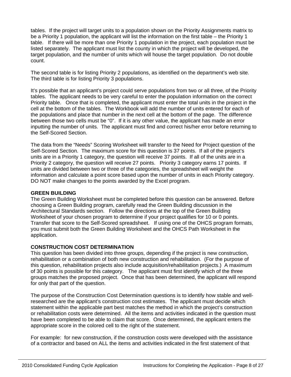tables. If the project will target units to a population shown on the Priority Assignments matrix to be a Priority 1 population, the applicant will list the information on the first table – the Priority 1 table. If there will be more than one Priority 1 population in the project, each population must be listed separately. The applicant must list the county in which the project will be developed, the target population, and the number of units which will house the target population. Do not double count.

The second table is for listing Priority 2 populations, as identified on the department's web site. The third table is for listing Priority 3 populations.

It's possible that an applicant's project could serve populations from two or all three, of the Priority tables. The applicant needs to be very careful to enter the population information on the correct Priority table. Once that is completed, the applicant must enter the total units in the project in the cell at the bottom of the tables. The Workbook will add the number of units entered for each of the populations and place that number in the next cell at the bottom of the page. The difference between those two cells must be "0". If it is any other value, the applicant has made an error inputting the number of units. The applicant must find and correct his/her error before returning to the Self-Scored Section.

The data from the "Needs" Scoring Worksheet will transfer to the Need for Project question of the Self-Scored Section. The maximum score for this question is 37 points. If all of the project's units are in a Priority 1 category, the question will receive 37 points. If all of the units are in a Priority 2 category, the question will receive 27 points. Priority 3 category earns 17 points. If units are divided between two or three of the categories, the spreadsheet will weight the information and calculate a point score based upon the number of units in each Priority category. DO NOT make changes to the points awarded by the Excel program.

# **GREEN BUILDING**

The Green Building Worksheet must be completed before this question can be answered. Before choosing a Green Building program, carefully read the Green Building discussion in the Architectural Standards section. Follow the directions at the top of the Green Building Worksheet of your chosen program to determine if your project qualifies for 10 or 0 points. Transfer that score to the Self-Scored spreadsheet. If using one of the OHCS program formats, you must submit both the Green Building Worksheet and the OHCS Path Worksheet in the application.

# **CONSTRUCTION COST DETERMINATION**

This question has been divided into three groups, depending if the project is new construction, rehabilitation or a combination of both new construction and rehabilitation. (For the purpose of this question, rehabilitation projects also include acquisition/rehabilitation projects.) A maximum of 30 points is possible for this category. The applicant must first identify which of the three groups matches the proposed project. Once that has been determined, the applicant will respond for only that part of the question.

The purpose of the Construction Cost Determination questions is to identify how stable and wellresearched are the applicant's construction cost estimates. The applicant must decide which statement within the applicable part best matches the method in which the project's construction or rehabilitation costs were determined. All the items and activities indicated in the question must have been completed to be able to claim that score. Once determined, the applicant enters the appropriate score in the colored cell to the right of the statement.

For example: for new construction, if the construction costs were developed with the assistance of a contractor and based on ALL the items and activities indicated in the first statement of that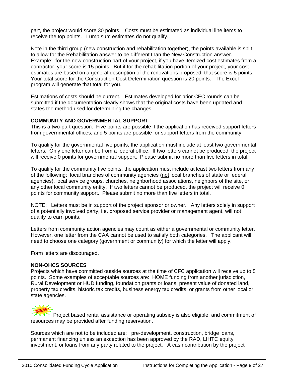part, the project would score 30 points. Costs must be estimated as individual line items to receive the top points. Lump sum estimates do not qualify.

Note in the third group (new construction and rehabilitation together), the points available is split to allow for the Rehabilitation answer to be different than the New Construction answer. Example: for the new construction part of your project, if you have itemized cost estimates from a contractor, your score is 15 points. But if for the rehabilitation portion of your project, your cost estimates are based on a general description of the renovations proposed, that score is 5 points. Your total score for the Construction Cost Determination question is 20 points. The Excel program will generate that total for you.

Estimations of costs should be current. Estimates developed for prior CFC rounds can be submitted if the documentation clearly shows that the original costs have been updated and states the method used for determining the changes.

#### **COMMUNITY AND GOVERNMENTAL SUPPORT**

This is a two-part question. Five points are possible if the application has received support letters from governmental offices, and 5 points are possible for support letters from the community.

To qualify for the governmental five points, the application must include at least two governmental letters. Only one letter can be from a federal office. If two letters cannot be produced, the project will receive 0 points for governmental support. Please submit no more than five letters in total.

To qualify for the community five points, the application must include at least two letters from any of the following: local branches of community agencies (not local branches of state or federal agencies), local service groups, churches, neighborhood associations, neighbors of the site, or any other local community entity. If two letters cannot be produced, the project will receive 0 points for community support. Please submit no more than five letters in total.

NOTE: Letters must be in support of the project sponsor or owner. Any letters solely in support of a potentially involved party, i.e. proposed service provider or management agent, will not qualify to earn points.

Letters from community action agencies may count as either a governmental or community letter. However, one letter from the CAA cannot be used to satisfy both categories. The applicant will need to choose one category (government or community) for which the letter will apply.

Form letters are discouraged.

# **NON-OHCS SOURCES**

Projects which have committed outside sources at the time of CFC application will receive up to 5 points. Some examples of acceptable sources are: HOME funding from another jurisdiction, Rural Development or HUD funding, foundation grants or loans, present value of donated land, property tax credits, historic tax credits, business energy tax credits, or grants from other local or state agencies.

Project based rental assistance or operating subsidy is also eligible, and commitment of resources may be provided after funding reservation.

Sources which are not to be included are: pre-development, construction, bridge loans, permanent financing unless an exception has been approved by the RAD, LIHTC equity investment, or loans from any party related to the project. A cash contribution by the project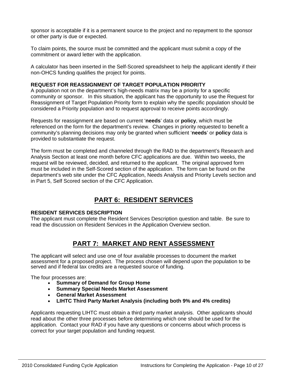sponsor is acceptable if it is a permanent source to the project and no repayment to the sponsor or other party is due or expected.

To claim points, the source must be committed and the applicant must submit a copy of the commitment or award letter with the application.

A calculator has been inserted in the Self-Scored spreadsheet to help the applicant identify if their non-OHCS funding qualifies the project for points.

# **REQUEST FOR REASSIGNMENT OF TARGET POPULATION PRIORITY**

A population not on the department's high-needs matrix may be a priority for a specific community or sponsor. In this situation, the applicant has the opportunity to use the Request for Reassignment of Target Population Priority form to explain why the specific population should be considered a Priority population and to request approval to receive points accordingly.

Requests for reassignment are based on current '**needs**' data or **policy**, which must be referenced on the form for the department's review. Changes in priority requested to benefit a community's planning decisions may only be granted when sufficient '**needs**' or **policy** data is provided to substantiate the request.

The form must be completed and channeled through the RAD to the department's Research and Analysis Section at least one month before CFC applications are due. Within two weeks, the request will be reviewed, decided, and returned to the applicant. The original approved form must be included in the Self-Scored section of the application. The form can be found on the department's web site under the CFC Application, Needs Analysis and Priority Levels section and in Part 5, Self Scored section of the CFC Application.

# **PART 6: RESIDENT SERVICES**

# **RESIDENT SERVICES DESCRIPTION**

The applicant must complete the Resident Services Description question and table. Be sure to read the discussion on Resident Services in the Application Overview section.

# **PART 7: MARKET AND RENT ASSESSMENT**

The applicant will select and use one of four available processes to document the market assessment for a proposed project. The process chosen will depend upon the population to be served and if federal tax credits are a requested source of funding.

The four processes are:

- **Summary of Demand for Group Home**
- **Summary Special Needs Market Assessment**
- **General Market Assessment**
- **LIHTC Third Party Market Analysis (including both 9% and 4% credits)**

Applicants requesting LIHTC must obtain a third party market analysis. Other applicants should read about the other three processes before determining which one should be used for the application. Contact your RAD if you have any questions or concerns about which process is correct for your target population and funding request.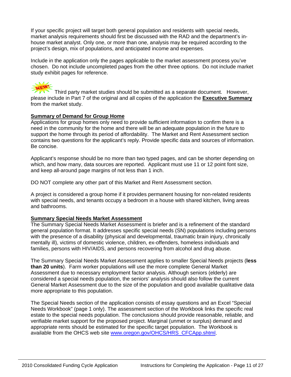If your specific project will target both general population and residents with special needs, market analysis requirements should first be discussed with the RAD and the department's inhouse market analyst. Only one, or more than one, analysis may be required according to the project's design, mix of populations, and anticipated income and expenses.

Include in the application only the pages applicable to the market assessment process you've chosen. Do not include uncompleted pages from the other three options. Do not include market study exhibit pages for reference.

Third party market studies should be submitted as a separate document. However, please include in Part 7 of the original and all copies of the application the **Executive Summary** from the market study.

# **Summary of Demand for Group Home**

Applications for group homes only need to provide sufficient information to confirm there is a need in the community for the home and there will be an adequate population in the future to support the home through its period of affordability. The Market and Rent Assessment section contains two questions for the applicant's reply. Provide specific data and sources of information. Be concise.

Applicant's response should be no more than two typed pages, and can be shorter depending on which, and how many, data sources are reported. Applicant must use 11 or 12 point font size, and keep all-around page margins of not less than 1 inch.

DO NOT complete any other part of this Market and Rent Assessment section.

A project is considered a group home if it provides permanent housing for non-related residents with special needs, and tenants occupy a bedroom in a house with shared kitchen, living areas and bathrooms.

# **Summary Special Needs Market Assessment**

The Summary Special Needs Market Assessment is briefer and is a refinement of the standard general population format. It addresses specific special needs (SN) populations including persons with the presence of a disability (physical and developmental, traumatic brain injury, chronically mentally ill), victims of domestic violence, children, ex-offenders, homeless individuals and families, persons with HIV/AIDS, and persons recovering from alcohol and drug abuse.

The Summary Special Needs Market Assessment applies to smaller Special Needs projects (**less than 20 units**). Farm worker populations will use the more complete General Market Assessment due to necessary employment factor analysis. Although seniors (elderly) are considered a special needs population, the seniors' analysis should also follow the current General Market Assessment due to the size of the population and good available qualitative data more appropriate to this population.

The Special Needs section of the application consists of essay questions and an Excel "Special Needs Workbook" (page 1 only). The assessment section of the Workbook links the specific real estate to the special needs population. The conclusions should provide reasonable, reliable, and verifiable market support for the proposed project. Marginal (unmet or surplus) demand and appropriate rents should be estimated for the specific target population. The Workbook is available from the OHCS web site [www.oregon.gov/OHCS/HRS\\_CFCApp.shtml.](http://www.oregon.gov/OHCS/HRS_CFCApp.shtml)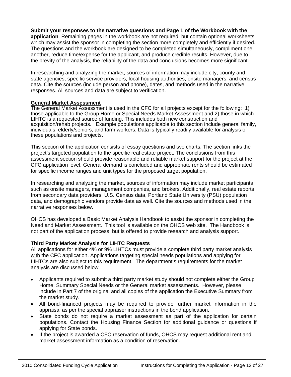**Submit your responses to the narrative questions and Page 1 of the Workbook with the application**. Remaining pages in the workbook are not required, but contain optional worksheets which may assist the sponsor in completing the section more completely and efficiently if desired. The questions and the workbook are designed to be completed simultaneously, compliment one another, reduce time/expense for the applicant, and produce credible results. However, due to the brevity of the analysis, the reliability of the data and conclusions becomes more significant.

In researching and analyzing the market, sources of information may include city, county and state agencies, specific service providers, local housing authorities, onsite managers, and census data. Cite the sources (include person and phone), dates, and methods used in the narrative responses. All sources and data are subject to verification.

#### **General Market Assessment**

The General Market Assessment is used in the CFC for all projects except for the following: 1) those applicable to the Group Home or Special Needs Market Assessment and 2) those in which LIHTC is a requested source of funding. This includes both new construction and acquisition/rehab projects. Example populations applicable to this section include general family, individuals, elderly/seniors, and farm workers. Data is typically readily available for analysis of these populations and projects.

This section of the application consists of essay questions and two charts. The section links the project's targeted population to the specific real estate project. The conclusions from this assessment section should provide reasonable and reliable market support for the project at the CFC application level. General demand is concluded and appropriate rents should be estimated for specific income ranges and unit types for the proposed target population.

In researching and analyzing the market, sources of information may include market participants such as onsite managers, management companies, and brokers. Additionally, real estate reports from secondary data providers, U.S. Census data, Portland State University (PSU) population data, and demographic vendors provide data as well. Cite the sources and methods used in the narrative responses below.

OHCS has developed a Basic Market Analysis Handbook to assist the sponsor in completing the Need and Market Assessment. This tool is available on the OHCS web site. The Handbook is not part of the application process, but is offered to provide research and analysis support.

# **Third Party Market Analysis for LIHTC Requests**

All applications for either 4% or 9% LIHTCs must provide a complete third party market analysis with the CFC application. Applications targeting special needs populations and applying for LIHTCs are also subject to this requirement. The department's requirements for the market analysis are discussed below.

- Applicants required to submit a third party market study should not complete either the Group Home, Summary Special Needs or the General market assessments.However, please include in Part 7 of the original and all copies of the application the Executive Summary from the market study.
- All bond-financed projects may be required to provide further market information in the appraisal as per the special appraiser instructions in the bond application.
- State bonds do not require a market assessment as part of the application for certain populations. Contact the Housing Finance Section for additional guidance or questions if applying for State bonds.
- If the project is awarded a CFC reservation of funds, OHCS may request additional rent and market assessment information as a condition of reservation.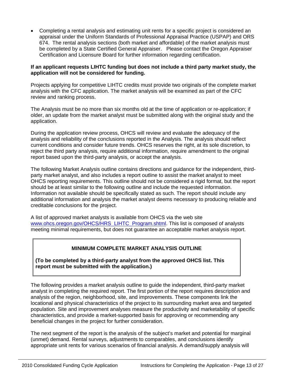• Completing a rental analysis and estimating unit rents for a specific project is considered an appraisal under the Uniform Standards of Professional Appraisal Practice (USPAP) and ORS 674. The rental analysis sections (both market and affordable) of the market analysis must be completed by a State Certified General Appraiser. Please contact the Oregon Appraiser Certification and Licensure Board for further information regarding certification.

# **If an applicant requests LIHTC funding but does not include a third party market study, the application will not be considered for funding.**

Projects applying for competitive LIHTC credits must provide two originals of the complete market analysis with the CFC application. The market analysis will be examined as part of the CFC review and ranking process.

The Analysis must be no more than six months old at the time of application or re-application; if older, an update from the market analyst must be submitted along with the original study and the application.

During the application review process, OHCS will review and evaluate the adequacy of the analysis and reliability of the conclusions reported in the Analysis. The analysis should reflect current conditions and consider future trends. OHCS reserves the right, at its sole discretion, to reject the third party analysis, require additional information, require amendment to the original report based upon the third-party analysis, or accept the analysis.

The following Market Analysis outline contains directions and guidance for the independent, thirdparty market analyst, and also includes a report outline to assist the market analyst to meet OHCS reporting requirements. This outline should not be considered a rigid format, but the report should be at least similar to the following outline and include the requested information. Information not available should be specifically stated as such. The report should include any additional information and analysis the market analyst deems necessary to producing reliable and creditable conclusions for the project.

A list of approved market analysts is available from OHCS via the web site [www.ohcs.oregon.gov/OHCS/HRS\\_LIHTC\\_Program.shtml.](http://www.ohcs.oregon.gov/OHCS/HRS_LIHTC_Program.shtml) This list is composed of analysts meeting minimal requirements, but does not guarantee an acceptable market analysis report.

# **MINIMUM COMPLETE MARKET ANALYSIS OUTLINE**

**(To be completed by a third-party analyst from the approved OHCS list. This report must be submitted with the application.)** 

The following provides a market analysis outline to guide the independent, third-party market analyst in completing the required report. The first portion of the report requires description and analysis of the region, neighborhood, site, and improvements. These components link the locational and physical characteristics of the project to its surrounding market area and targeted population. Site and improvement analyses measure the productivity and marketability of specific characteristics, and provide a market-supported basis for approving or recommending any beneficial changes in the project for further consideration.

The next segment of the report is the analysis of the subject's market and potential for marginal (unmet) demand. Rental surveys, adjustments to comparables, and conclusions identify appropriate unit rents for various scenarios of financial analysis. A demand/supply analysis will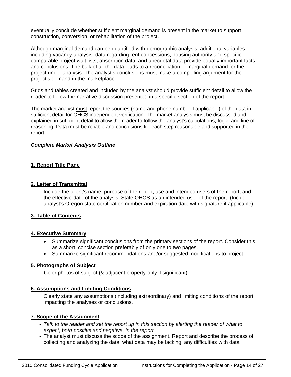eventually conclude whether sufficient marginal demand is present in the market to support construction, conversion, or rehabilitation of the project.

Although marginal demand can be quantified with demographic analysis, additional variables including vacancy analysis, data regarding rent concessions, housing authority and specific comparable project wait lists, absorption data, and anecdotal data provide equally important facts and conclusions. The bulk of all the data leads to a reconciliation of marginal demand for the project under analysis. The analyst's conclusions must make a compelling argument for the project's demand in the marketplace.

Grids and tables created and included by the analyst should provide sufficient detail to allow the reader to follow the narrative discussion presented in a specific section of the report.

The market analyst must report the sources (name and phone number if applicable) of the data in sufficient detail for OHCS independent verification. The market analysis must be discussed and explained in sufficient detail to allow the reader to follow the analyst's calculations, logic, and line of reasoning. Data must be reliable and conclusions for each step reasonable and supported in the report.

#### *Complete Market Analysis Outline*

# **1. Report Title Page**

#### **2. Letter of Transmittal**

Include the client's name, purpose of the report, use and intended users of the report, and the effective date of the analysis. State OHCS as an intended user of the report. (Include analyst's Oregon state certification number and expiration date with signature if applicable).

# **3. Table of Contents**

#### **4. Executive Summary**

- Summarize significant conclusions from the primary sections of the report. Consider this as a short, concise section preferably of only one to two pages.
- Summarize significant recommendations and/or suggested modifications to project.

#### **5. Photographs of Subject**

Color photos of subject (& adjacent property only if significant).

#### **6. Assumptions and Limiting Conditions**

Clearly state any assumptions (including extraordinary) and limiting conditions of the report impacting the analyses or conclusions.

#### **7. Scope of the Assignment**

- *Talk to the reader and set the report up in this section by alerting the reader of what to expect, both positive and negative, in the report.*
- The analyst must discuss the scope of the assignment. Report and describe the process of collecting and analyzing the data, what data may be lacking, any difficulties with data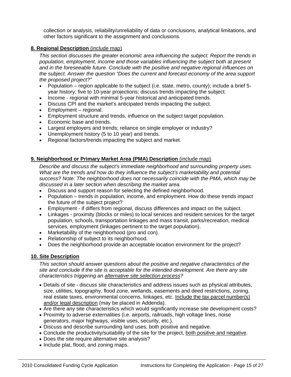collection or analysis, reliability/unreliability of data or conclusions, analytical limitations, and other factors significant to the assignment and conclusions.

# **8. Regional Description** (include map)

*This section discusses the greater economic area influencing the subject. Report the trends in population, employment, income and those variables influencing the subject both at present and in the foreseeable future. Conclude with the positive and negative regional influences on the subject. Answer the question "Does the current and forecast economy of the area support the proposed project?"* 

- Population region applicable to the subject (i.e. state, metro, county); include a brief 5 year history; five to 10-year projections; discuss trends impacting the subject.
- Income regional with minimal 5-year historical and anticipated trends.
- Discuss CPI and the market's anticipated trends impacting the subject.
- Employment regional.
- Employment structure and trends, influence on the subject target population.
- Economic base and trends.
- Largest employers and trends; reliance on single employer or industry?
- Unemployment history (5 to 10 year) and trends.
- Regional factors/trends impacting the subject and market.

# **9. Neighborhood or Primary Market Area (PMA) Description** (include map)

*Describe and discuss the subject's immediate neighborhood and surrounding property uses. What are the trends and how do they influence the subject's marketability and potential success? Note: The neighborhood does not necessarily coincide with the PMA, which may be discussed in a later section when describing the market area.* 

- Discuss and support reason for selecting the defined neighborhood.
- Population trends in population, income, and employment. How do these trends impact the future of the subject project?
- Employment if differs from regional, discuss differences and impact on the subject.
- Linkages proximity (blocks or miles) to local services and resident services for the target population, schools, transportation linkages and mass transit, parks/recreation, medical services, employment (linkages pertinent to the target population).
- Marketability of the neighborhood (pro and con).
- Relationship of subject to its neighborhood.
- Does the neighborhood provide an acceptable location environment for the project?

# **10. Site Description**

*This section should answer questions about the positive and negative characteristics of the site and conclude if the site is acceptable for the intended development. Are there any site characteristics triggering an alternative site selection process?* 

- Details of site discuss site characteristics and address issues such as physical attributes, size, utilities, topography, flood zone, wetlands, easements and deed restrictions, zoning, real estate taxes, environmental concerns, linkages, etc. Include the tax parcel number(s) and/or legal description (may be placed in Addenda).
- Are there any site characteristics which would significantly increase site development costs?
- Proximity to adverse externalities (i.e. airports, railroads, high voltage lines, noise generators, major highways, visible uses, security, etc.).
- Discuss and describe surrounding land uses, both positive and negative.
- Conclude the productivity/suitability of the site for the project, both positive and negative.
- Does the site require alternative site analysis?
- Include plat, flood, and zoning maps.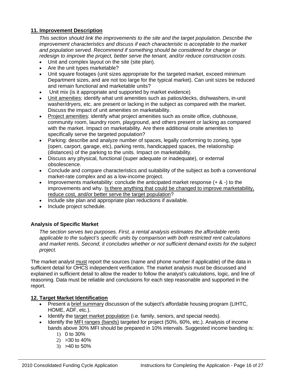# **11. Improvement Description**

*This section should link the improvements to the site and the target population. Describe the improvement characteristics and discuss if each characteristic is acceptable to the market and population served. Recommend if something should be considered for change or redesign to improve the project, better serve the tenant, and/or reduce construction costs.* 

- Unit and complex layout on the site (site plan).
- Are the unit types marketable?
- Unit square footages (unit sizes appropriate for the targeted market, exceed minimum Department sizes, and are not too large for the typical market). Can unit sizes be reduced and remain functional and marketable units?
- Unit mix (is it appropriate and supported by market evidence)
- Unit amenities: identify what unit amenities such as patios/decks, dishwashers, in-unit washer/dryers, etc. are present or lacking in the subject as compared with the market. Discuss the impact of unit amenities on marketability.
- Project amenities: identify what project amenities such as onsite office, clubhouse, community room, laundry room, playground, and others present or lacking as compared with the market. Impact on marketability. Are there additional onsite amenities to specifically serve the targeted population?
- Parking: describe and analyze number of spaces, legally conforming to zoning, type (open, carport, garage, etc), parking rents, handicapped spaces, the relationship (distances) of the parking to the units. Impact on marketability.
- Discuss any physical, functional (super adequate or inadequate), or external obsolescence.
- Conclude and compare characteristics and suitability of the subject as both a conventional market-rate complex and as a low-income project.
- Improvements marketability: conclude the anticipated market response  $(+ 8 -)$  to the improvements and why. Is there anything that could be changed to improve marketability, reduce cost, and/or better serve the target population?
- Include site plan and appropriate plan reductions if available.
- Include project schedule.

# **Analysis of Specific Market**

*The section serves two purposes. First, a rental analysis estimates the affordable rents applicable to the subject's specific units by comparison with both restricted rent calculations and market rents. Second, it concludes whether or not sufficient demand exists for the subject project.* 

The market analyst must report the sources (name and phone number if applicable) of the data in sufficient detail for OHCS independent verification. The market analysis must be discussed and explained in sufficient detail to allow the reader to follow the analyst's calculations, logic, and line of reasoning. Data must be reliable and conclusions for each step reasonable and supported in the report.

# **12. Target Market Identification**

- Present a brief summary discussion of the subject's affordable housing program (LIHTC, HOME, ADF, etc.).
- Identify the target market population (i.e. family, seniors, and special needs).
- Identify the MFI ranges (bands) targeted for project (50%, 60%, etc.). Analysis of income bands above 30% MFI should be prepared in 10% intervals. Suggested income banding is:
	- 1) 0 to 30%
	- 2) >30 to 40%
	- 3) >40 to 50%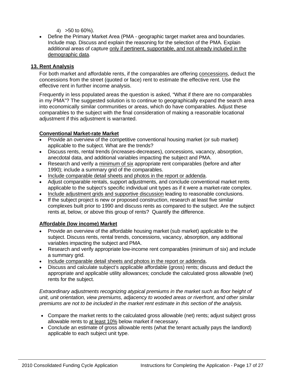- $(4)$  > 50 to 60%).
- Define the Primary Market Area (PMA geographic target market area and boundaries. Include map. Discuss and explain the reasoning for the selection of the PMA. Explain additional areas of capture only if pertinent, supportable, and not already included in the demographic data.

# **13. Rent Analysis**

For both market and affordable rents, if the comparables are offering concessions, deduct the concessions from the street (quoted or face) rent to estimate the effective rent. Use the effective rent in further income analysis.

Frequently in less populated areas the question is asked, "What if there are no comparables in my PMA"? The suggested solution is to continue to geographically expand the search area into economically similar communities or areas, which do have comparables. Adjust these comparables to the subject with the final consideration of making a reasonable locational adjustment if this adjustment is warranted.

# **Conventional Market-rate Market**

- Provide an overview of the competitive conventional housing market (or sub market) applicable to the subject. What are the trends?
- Discuss rents, rental trends (increases-decreases), concessions, vacancy, absorption, anecdotal data, and additional variables impacting the subject and PMA.
- Research and verify a minimum of six appropriate rent comparables (before and after 1990); include a summary grid of the comparables.
- Include comparable detail sheets and photos in the report or addenda.
- Adjust comparable rentals, support adjustments, and conclude conventional market rents applicable to the subject's specific individual unit types as if it were a market-rate complex.
- Include adjustment grids and supportive discussion leading to reasonable conclusions.
- If the subject project is new or proposed construction, research at least five similar complexes built prior to 1990 and discuss rents as compared to the subject. Are the subject rents at, below, or above this group of rents? Quantify the difference.

# **Affordable (low income) Market**

- Provide an overview of the affordable housing market (sub market) applicable to the subject. Discuss rents, rental trends, concessions, vacancy, absorption, any additional variables impacting the subject and PMA.
- Research and verify appropriate low-income rent comparables (minimum of six) and include a summary grid.
- Include comparable detail sheets and photos in the report or addenda.
- Discuss and calculate subject's applicable affordable (gross) rents; discuss and deduct the appropriate and applicable utility allowances; conclude the calculated gross allowable (net) rents for the subject.

*Extraordinary adjustments recognizing atypical premiums in the market such as floor height of unit, unit orientation, view premiums, adjacency to wooded areas or riverfront, and other similar premiums are not to be included in the market rent estimate in this section of the analysis.* 

- Compare the market rents to the calculated gross allowable (net) rents; adjust subject gross allowable rents to at least 10% below market if necessary.
- Conclude an estimate of gross allowable rents (what the tenant actually pays the landlord) applicable to each subject unit type.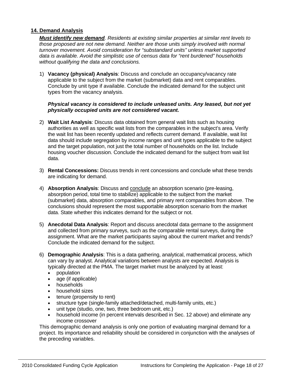# **14. Demand Analysis**

*Must identify new demand. Residents at existing similar properties at similar rent levels to those proposed are not new demand. Neither are those units simply involved with normal turnover movement. Avoid consideration for "substandard units" unless market supported data is available. Avoid the simplistic use of census data for "rent burdened" households without qualifying the data and conclusions.* 

1) **Vacancy (physical) Analysis**: Discuss and conclude an occupancy/vacancy rate applicable to the subject from the market (submarket) data and rent comparables. Conclude by unit type if available. Conclude the indicated demand for the subject unit types from the vacancy analysis.

#### *Physical vacancy is considered to include unleased units. Any leased, but not yet physically occupied units are not considered vacant.*

- 2) **Wait List Analysis**: Discuss data obtained from general wait lists such as housing authorities as well as specific wait lists from the comparables in the subject's area. Verify the wait list has been recently updated and reflects current demand. If available, wait list data should include segregation by income ranges and unit types applicable to the subject and the target population, not just the total number of households on the list. Include housing voucher discussion. Conclude the indicated demand for the subject from wait list data.
- 3) **Rental Concessions:** Discuss trends in rent concessions and conclude what these trends are indicating for demand.
- 4) **Absorption Analysis**: Discuss and conclude an absorption scenario (pre-leasing, absorption period, total time to stabilize) applicable to the subject from the market (submarket) data, absorption comparables, and primary rent comparables from above. The conclusions should represent the most supportable absorption scenario from the market data. State whether this indicates demand for the subject or not.
- 5) **Anecdotal Data Analysis**: Report and discuss anecdotal data germane to the assignment and collected from primary surveys, such as the comparable rental surveys, during the assignment. What are the market participants saying about the current market and trends? Conclude the indicated demand for the subject.
- 6) **Demographic Analysis**: This is a data gathering, analytical, mathematical process, which can vary by analyst. Analytical variations between analysts are expected. Analysis is typically directed at the PMA. The target market must be analyzed by at least:
	- population
	- age (if applicable)
	- households
	- household sizes
	- tenure (propensity to rent)
	- structure type (single-family attached/detached, multi-family units, etc.)
	- unit type (studio, one, two, three bedroom unit, etc.)
	- household income (in percent intervals described in Sec. 12 above) and eliminate any income crossover

This demographic demand analysis is only one portion of evaluating marginal demand for a project. Its importance and reliability should be considered in conjunction with the analyses of the preceding variables.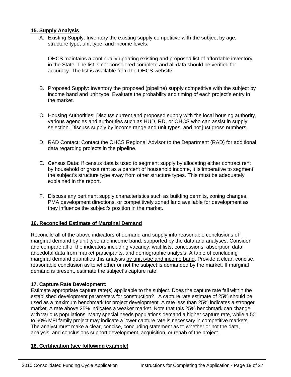# **15. Supply Analysis**

A. Existing Supply: Inventory the existing supply competitive with the subject by age, structure type, unit type, and income levels.

OHCS maintains a continually updating existing and proposed list of affordable inventory in the State. The list is not considered complete and all data should be verified for accuracy. The list is available from the OHCS website.

- B. Proposed Supply: Inventory the proposed (pipeline) supply competitive with the subject by income band and unit type. Evaluate the probability and timing of each project's entry in the market.
- C. Housing Authorities: Discuss current and proposed supply with the local housing authority, various agencies and authorities such as HUD, RD, or OHCS who can assist in supply selection. Discuss supply by income range and unit types, and not just gross numbers.
- D. RAD Contact: Contact the OHCS Regional Advisor to the Department (RAD) for additional data regarding projects in the pipeline.
- E. Census Data: If census data is used to segment supply by allocating either contract rent by household or gross rent as a percent of household income, it is imperative to segment the subject's structure type away from other structure types. This must be adequately explained in the report.
- F. Discuss any pertinent supply characteristics such as building permits, zoning changes, PMA development directions, or competitively zoned land available for development as they influence the subject's position in the market.

# **16. Reconciled Estimate of Marginal Demand**

Reconcile all of the above indicators of demand and supply into reasonable conclusions of marginal demand by unit type and income band, supported by the data and analyses. Consider and compare all of the indicators including vacancy, wait lists, concessions, absorption data, anecdotal data from market participants, and demographic analysis. A table of concluding marginal demand quantifies this analysis by unit type and income band. Provide a clear, concise, reasonable conclusion as to whether or not the subject is demanded by the market. If marginal demand is present, estimate the subject's capture rate.

# **17. Capture Rate Development:**

Estimate appropriate capture rate(s) applicable to the subject. Does the capture rate fall within the established development parameters for construction? A capture rate estimate of 25% should be used as a maximum benchmark for project development. A rate less than 25% indicates a stronger market. A rate above 25% indicates a weaker market. Note that this 25% benchmark can change with various populations. Many special needs populations demand a higher capture rate, while a 50 to 60% MFI family project may indicate a lower capture rate is necessary in competitive markets. The analyst must make a clear, concise, concluding statement as to whether or not the data, analysis, and conclusions support development, acquisition, or rehab of the project.

# **18. Certification (see following example)**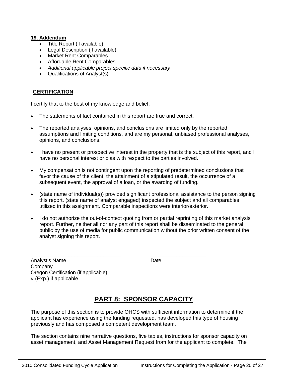## **19. Addendum**

- Title Report (if available)
- Legal Description (if available)
- Market Rent Comparables
- Affordable Rent Comparables
- *Additional applicable project specific data if necessary*
- Qualifications of Analyst(s)

# **CERTIFICATION**

I certify that to the best of my knowledge and belief:

- The statements of fact contained in this report are true and correct.
- The reported analyses, opinions, and conclusions are limited only by the reported assumptions and limiting conditions, and are my personal, unbiased professional analyses, opinions, and conclusions.
- I have no present or prospective interest in the property that is the subject of this report, and I have no personal interest or bias with respect to the parties involved.
- My compensation is not contingent upon the reporting of predetermined conclusions that favor the cause of the client, the attainment of a stipulated result, the occurrence of a subsequent event, the approval of a loan, or the awarding of funding.
- (state name of individual(s)) provided significant professional assistance to the person signing this report. (state name of analyst engaged) inspected the subject and all comparables utilized in this assignment. Comparable inspections were interior/exterior.
- I do not authorize the out-of-context quoting from or partial reprinting of this market analysis report. Further, neither all nor any part of this report shall be disseminated to the general public by the use of media for public communication without the prior written consent of the analyst signing this report.

\_\_\_\_\_\_\_\_\_\_\_\_\_\_\_\_\_\_\_\_\_\_\_\_\_\_\_\_\_\_\_ \_\_\_\_\_\_\_\_\_\_\_\_\_\_\_\_\_\_\_

Analyst's Name **Date** Date **Date Company** Oregon Certification (if applicable) # (Exp.) if applicable

# **PART 8: SPONSOR CAPACITY**

The purpose of this section is to provide OHCS with sufficient information to determine if the applicant has experience using the funding requested, has developed this type of housing previously and has composed a competent development team.

The section contains nine narrative questions, five tables, instructions for sponsor capacity on asset management, and Asset Management Request from for the applicant to complete. The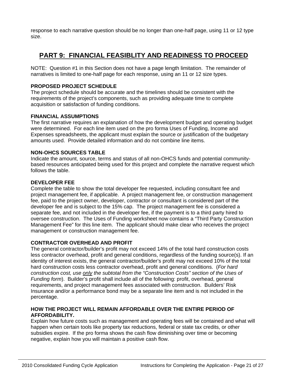response to each narrative question should be no longer than one-half page, using 11 or 12 type size.

# **PART 9: FINANCIAL FEASIBLITY AND READINESS TO PROCEED**

NOTE: Question #1 in this Section does not have a page length limitation. The remainder of narratives is limited to one-half page for each response, using an 11 or 12 size types.

# **PROPOSED PROJECT SCHEDULE**

The project schedule should be accurate and the timelines should be consistent with the requirements of the project's components, such as providing adequate time to complete acquisition or satisfaction of funding conditions.

# **FINANCIAL ASSUMPTIONS**

The first narrative requires an explanation of how the development budget and operating budget were determined. For each line item used on the pro forma Uses of Funding, Income and Expenses spreadsheets, the applicant must explain the source or justification of the budgetary amounts used. Provide detailed information and do not combine line items.

# **NON-OHCS SOURCES TABLE**

Indicate the amount, source, terms and status of all non-OHCS funds and potential communitybased resources anticipated being used for this project and complete the narrative request which follows the table.

# **DEVELOPER FEE**

Complete the table to show the total developer fee requested, including consultant fee and project management fee, if applicable. A project management fee, or construction management fee, paid to the project owner, developer, contractor or consultant is considered part of the developer fee and is subject to the 15% cap. The project management fee is considered a separate fee, and not included in the developer fee, if the payment is to a third party hired to oversee construction. The Uses of Funding worksheet now contains a "Third Party Construction Management Fee" for this line item. The applicant should make clear who receives the project management or construction management fee.

# **CONTRACTOR OVERHEAD AND PROFIT**

The general contractor/builder's profit may not exceed 14% of the total hard construction costs less contractor overhead, profit and general conditions, regardless of the funding source(s). If an identity of interest exists, the general contractor/builder's profit may not exceed 10% of the total hard construction costs less contractor overhead, profit and general conditions. (*For hard construction cost, use only the subtotal from the "Construction Costs" section of the Uses of Funding form*). Builder's profit shall include all of the following: profit, overhead, general requirements, and project management fees associated with construction. Builders' Risk Insurance and/or a performance bond may be a separate line item and is not included in the percentage.

# **HOW THE PROJECT WILL REMAIN AFFORDABLE OVER THE ENTIRE PERIOD OF AFFORDABILITY.**

Explain how future costs such as management and operating fees will be contained and what will happen when certain tools like property tax reductions, federal or state tax credits, or other subsidies expire. If the pro forma shows the cash flow diminishing over time or becoming negative, explain how you will maintain a positive cash flow.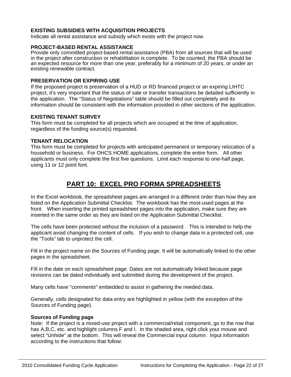# **EXISTING SUBSIDIES WITH ACQUISITION PROJECTS**

Indicate all rental assistance and subsidy which exists with the project now.

# **PROJECT-BASED RENTAL ASSISTANCE**

Provide only committed project-based rental assistance (PBA) from all sources that will be used in the project after construction or rehabilitation is complete. To be counted, the PBA should be an expected resource for more than one year, preferably for a minimum of 20 years, or under an existing renewable contract.

#### **PRESERVATION OR EXPIRING USE**

If the proposed project is preservation of a HUD or RD financed project or an expiring LIHTC project, it's very important that the status of sale or transfer transactions be detailed sufficiently in the application. The "Status of Negotiations" table should be filled out completely and its information should be consistent with the information provided in other sections of the application.

# **EXISTING TENANT SURVEY**

This form must be completed for all projects which are occupied at the time of application, regardless of the funding source(s) requested.

#### **TENANT RELOCATION**

This form must be completed for projects with anticipated permanent or temporary relocation of a household or business. For OHCS HOME applications, complete the entire form. All other applicants must only complete the first five questions. Limit each response to one-half page, using 11 or 12 point font.

# **PART 10: EXCEL PRO FORMA SPREADSHEETS**

In the Excel workbook, the spreadsheet pages are arranged in a different order than how they are listed on the Application Submittal Checklist. The workbook has the most-used pages at the front. When inserting the printed spreadsheet pages into the application, make sure they are inserted in the same order as they are listed on the Application Submittal Checklist.

The cells have been protected without the inclusion of a password. This is intended to help the applicant avoid changing the content of cells. If you wish to change data in a protected cell, use the "Tools" tab to unprotect the cell.

Fill in the project name on the Sources of Funding page. It will be automatically linked to the other pages in the spreadsheet.

Fill in the date on each spreadsheet page. Dates are not automatically linked because page revisions can be dated individually and submitted during the development of the project.

Many cells have "comments" embedded to assist in gathering the needed data.

Generally, cells designated for data entry are highlighted in yellow (with the exception of the Sources of Funding page).

#### **Sources of Funding page**

Note: If the project is a mixed-use project with a commercial/retail component, go to the row that has A,B,C, etc. and highlight columns F and I. In the shaded area, right click your mouse and select "Unhide" at the bottom. This will reveal the Commercial input column. Input information according to the instructions that follow: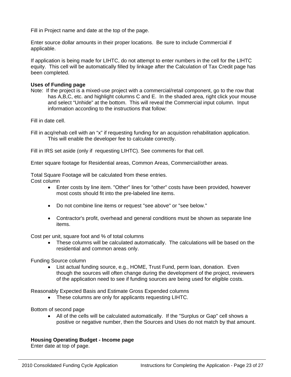Fill in Project name and date at the top of the page.

Enter source dollar amounts in their proper locations. Be sure to include Commercial if applicable.

If application is being made for LIHTC, do not attempt to enter numbers in the cell for the LIHTC equity. This cell will be automatically filled by linkage after the Calculation of Tax Credit page has been completed.

#### **Uses of Funding page**

Note: If the project is a mixed-use project with a commercial/retail component, go to the row that has A,B,C, etc. and highlight columns C and E. In the shaded area, right click your mouse and select "Unhide" at the bottom. This will reveal the Commercial input column. Input information according to the instructions that follow:

Fill in date cell.

Fill in acq/rehab cell with an "x" if requesting funding for an acquistion rehabilitation application. This will enable the developer fee to calculate correctly.

Fill in IRS set aside (only if requesting LIHTC). See comments for that cell.

Enter square footage for Residential areas, Common Areas, Commercial/other areas.

Total Square Footage will be calculated from these entries. Cost column

- Enter costs by line item. "Other" lines for "other" costs have been provided, however most costs should fit into the pre-labeled line items.
- Do not combine line items or request "see above" or "see below."
- Contractor's profit, overhead and general conditions must be shown as separate line items.

Cost per unit, square foot and % of total columns

• These columns will be calculated automatically. The calculations will be based on the residential and common areas only.

Funding Source column

• List actual funding source, e.g., HOME, Trust Fund, perm loan, donation. Even though the sources will often change during the development of the project, reviewers of the application need to see if funding sources are being used for eligible costs.

Reasonably Expected Basis and Estimate Gross Expended columns

• These columns are only for applicants requesting LIHTC.

Bottom of second page

• All of the cells will be calculated automatically. If the "Surplus or Gap" cell shows a positive or negative number, then the Sources and Uses do not match by that amount.

# **Housing Operating Budget - Income page**

Enter date at top of page.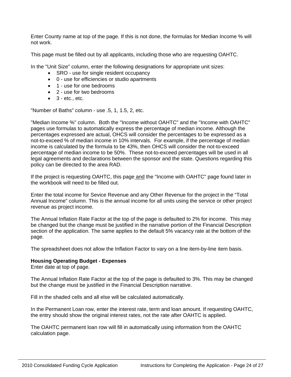Enter County name at top of the page. If this is not done, the formulas for Median Income % will not work.

This page must be filled out by all applicants, including those who are requesting OAHTC.

In the "Unit Size" column, enter the following designations for appropriate unit sizes:

- SRO use for single resident occupancy
- 0 use for efficiencies or studio apartments
- 1 use for one bedrooms
- 2 use for two bedrooms
- $\bullet$  3 etc., etc.

"Number of Baths" column - use .5, 1, 1.5, 2, etc.

"Median Income %" column. Both the "Income without OAHTC" and the "Income with OAHTC" pages use formulas to automatically express the percentage of median income. Although the percentages expressed are actual, OHCS will consider the percentages to be expressed as a not-to-exceed % of median income in 10% intervals. For example, if the percentage of median income is calculated by the formula to be 43%, then OHCS will consider the not-to-exceed percentage of median income to be 50%. These not-to-exceed percentages will be used in all legal agreements and declarations between the sponsor and the state. Questions regarding this policy can be directed to the area RAD.

If the project is requesting OAHTC, this page and the "Income with OAHTC" page found later in the workbook will need to be filled out.

Enter the total income for Sevice Revenue and any Other Revenue for the project in the "Total Annual Income" column. This is the annual income for all units using the service or other project revenue as project income.

The Annual Inflation Rate Factor at the top of the page is defaulted to 2% for income. This may be changed but the change must be justified in the narrative portion of the Financial Description section of the application. The same applies to the default 5% vacancy rate at the bottom of the page.

The spreadsheet does not allow the Inflation Factor to vary on a line item-by-line item basis.

#### **Housing Operating Budget - Expenses**

Enter date at top of page.

The Annual Inflation Rate Factor at the top of the page is defaulted to 3%. This may be changed but the change must be justified in the Financial Description narrative.

Fill in the shaded cells and all else will be calculated automatically.

In the Permanent Loan row, enter the interest rate, term and loan amount. If requesting OAHTC, the entry should show the original interest rates, not the rate after OAHTC is applied.

The OAHTC permanent loan row will fill in automatically using information from the OAHTC calculation page.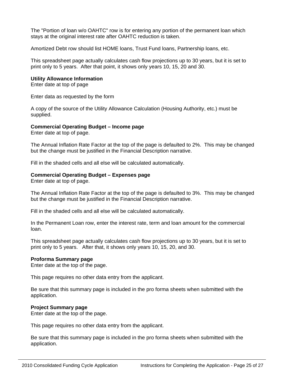The "Portion of loan w/o OAHTC" row is for entering any portion of the permanent loan which stays at the original interest rate after OAHTC reduction is taken.

Amortized Debt row should list HOME loans, Trust Fund loans, Partnership loans, etc.

This spreadsheet page actually calculates cash flow projections up to 30 years, but it is set to print only to 5 years. After that point, it shows only years 10, 15, 20 and 30.

#### **Utility Allowance Information**

Enter date at top of page

Enter data as requested by the form

A copy of the source of the Utility Allowance Calculation (Housing Authority, etc.) must be supplied.

# **Commercial Operating Budget – Income page**

Enter date at top of page.

The Annual Inflation Rate Factor at the top of the page is defaulted to 2%. This may be changed but the change must be justified in the Financial Description narrative.

Fill in the shaded cells and all else will be calculated automatically.

#### **Commercial Operating Budget – Expenses page**

Enter date at top of page.

The Annual Inflation Rate Factor at the top of the page is defaulted to 3%. This may be changed but the change must be justified in the Financial Description narrative.

Fill in the shaded cells and all else will be calculated automatically.

In the Permanent Loan row, enter the interest rate, term and loan amount for the commercial loan.

This spreadsheet page actually calculates cash flow projections up to 30 years, but it is set to print only to 5 years. After that, it shows only years 10, 15, 20, and 30.

#### **Proforma Summary page**

Enter date at the top of the page.

This page requires no other data entry from the applicant.

Be sure that this summary page is included in the pro forma sheets when submitted with the application.

# **Project Summary page**

Enter date at the top of the page.

This page requires no other data entry from the applicant.

Be sure that this summary page is included in the pro forma sheets when submitted with the application.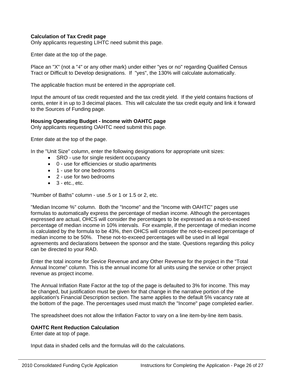# **Calculation of Tax Credit page**

Only applicants requesting LIHTC need submit this page.

Enter date at the top of the page.

Place an "X" (not a "4" or any other mark) under either "yes or no" regarding Qualified Census Tract or Difficult to Develop designations. If "yes", the 130% will calculate automatically.

The applicable fraction must be entered in the appropriate cell.

Input the amount of tax credit requested and the tax credit yield. If the yield contains fractions of cents, enter it in up to 3 decimal places. This will calculate the tax credit equity and link it forward to the Sources of Funding page.

#### **Housing Operating Budget - Income with OAHTC page**

Only applicants requesting OAHTC need submit this page.

Enter date at the top of the page.

In the "Unit Size" column, enter the following designations for appropriate unit sizes:

- SRO use for single resident occupancy
- 0 use for efficiencies or studio apartments
- 1 use for one bedrooms
- 2 use for two bedrooms
- $\bullet$  3 etc., etc.

"Number of Baths" column - use .5 or 1 or 1.5 or 2, etc.

"Median Income %" column. Both the "Income" and the "Income with OAHTC" pages use formulas to automatically express the percentage of median income. Although the percentages expressed are actual, OHCS will consider the percentages to be expressed as a not-to-exceed percentage of median income in 10% intervals. For example, if the percentage of median income is calculated by the formula to be 43%, then OHCS will consider the not-to-exceed percentage of median income to be 50%. These not-to-exceed percentages will be used in all legal agreements and declarations between the sponsor and the state. Questions regarding this policy can be directed to your RAD.

Enter the total income for Sevice Revenue and any Other Revenue for the project in the "Total Annual Income" column. This is the annual income for all units using the service or other project revenue as project income.

The Annual Inflation Rate Factor at the top of the page is defaulted to 3% for income. This may be changed, but justification must be given for that change in the narrative portion of the application's Financial Description section. The same applies to the default 5% vacancy rate at the bottom of the page. The percentages used must match the "Income" page completed earlier.

The spreadsheet does not allow the Inflation Factor to vary on a line item-by-line item basis.

#### **OAHTC Rent Reduction Calculation**

Enter date at top of page.

Input data in shaded cells and the formulas will do the calculations.